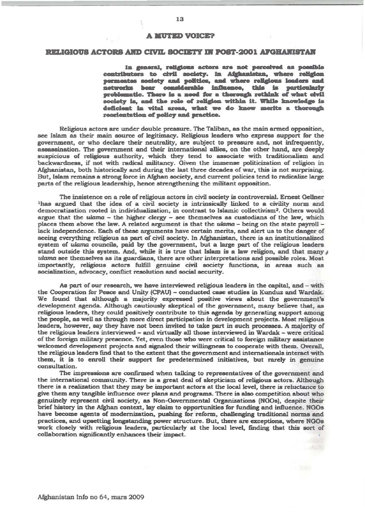## **A MUTED VOICE?**

## **RELIGIOUS ACTORS AND CIVIL SOCIETY IN POST-2001 AFGHANISTAN**

In general, religious actors are not perceived as possible contributors to civil society. In Afghanistan, where religion permeates society and politics, and where religious leaders and networks bear considerable influence, this is particularly problematic. There is a need for a therough rethink of what civil society is, and the role of religion within it. While knowledge is deficient in vital areas, what we do know merits a thorough reorientation of policy and practice.

Religious actors are under double pressure. The Taliban, as the main armed opposition, see Islam as their main source of legitimacy. Religious leaders who express support for the government, or who declare their neutrality, are subject to pressure and, not infrequently, assassination. The government and their international allies, on the other hand, are deeply suspicious of religious authority, which they tend to associate with traditionalism and backwardness, if not with radical militancy. Given the immense politicization of religion in Afghanistan, both historically and during the last three decades of war, this is not surprising. But, Islam remains a strong force in Afghan society, and current policies tend to radicalize large parts of the religious leadership, hence strengthening the militant opposition.

The insistence on a role of religious actors in civil society is controversial. Ernest Gellner <sup>1</sup>has argued that the idea of a civil society is intrinsically linked to a civility norm and democratization rooted in individualization, in contrast to Islamic collectivism<sup>2</sup>. Others would argue that the ulama - the higher clergy - see themselves as custodians of the law, which places them above the law. A related argument is that the ulama - being on the state payroll lack independence. Each of these arguments have certain merits, and alert us to the danger of seeing everything religious as part of civil society. In Afghanistan, there is an institutionalized system of ulama councils, paid by the government, but a large part of the religious leaders stand outside this system. And, while it is true that Islam is a law religion, and that many  $\theta$ ulama see themselves as its guardians, there are other interpretations and possible roles. Most importantly, religious actors fulfill genuine civil society functions, in areas such as socialization, advocacy, conflict resolution and social security.

As part of our research, we have interviewed religious leaders in the capital, and - with the Cooperation for Peace and Unity (CPAU) - conducted case studies in Kunduz and Wardak. We found that although a majority expressed positive views about the government's development agenda. Although cautiously skeptical of the government, many believe that, as religious leaders, they could positively contribute to this agenda by generating support among the people, as well as through more direct participation in development projects. Most religious leaders, however, say they have not been invited to take part in such processes. A majority of the religious leaders interviewed - and virtually all those interviewed in Wardak - were critical of the foreign military presence. Yet, even those who were critical to foreign military assistance welcomed development projects and signaled their willingness to cooperate with them. Overall, the religious leaders find that to the extent that the government and internationals interact with them, it is to enroll their support for predetermined initiatives, but rarely in genuine consultation.

The impressions are confirmed when talking to representatives of the government and the international community. There is a great deal of skepticism of religious actors. Although there is a realization that they may be important actors at the local level, there is reluctance to give them any tangible influence over plans and programs. There is also competition about who genuinely represent civil society, as Non-Governmental Organizations (NGOs), despite their brief history in the Afghan context, lay claim to opportunities for funding and influence. NGOs have become agents of modernization, pushing for reform, challenging traditional norms and practices, and upsetting longstanding power structure. But, there are exceptions, where NGOs work closely with religious leaders, particularly at the local level, finding that this sort of collaboration significantly enhances their impact.